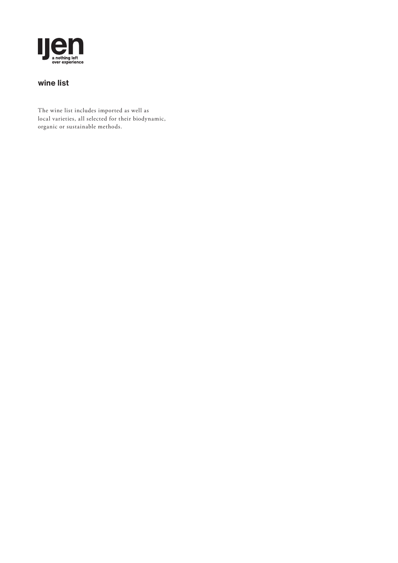

## **wine list**

The wine list includes imported as well as local varieties, all selected for their biodynamic, organic or sustainable methods.